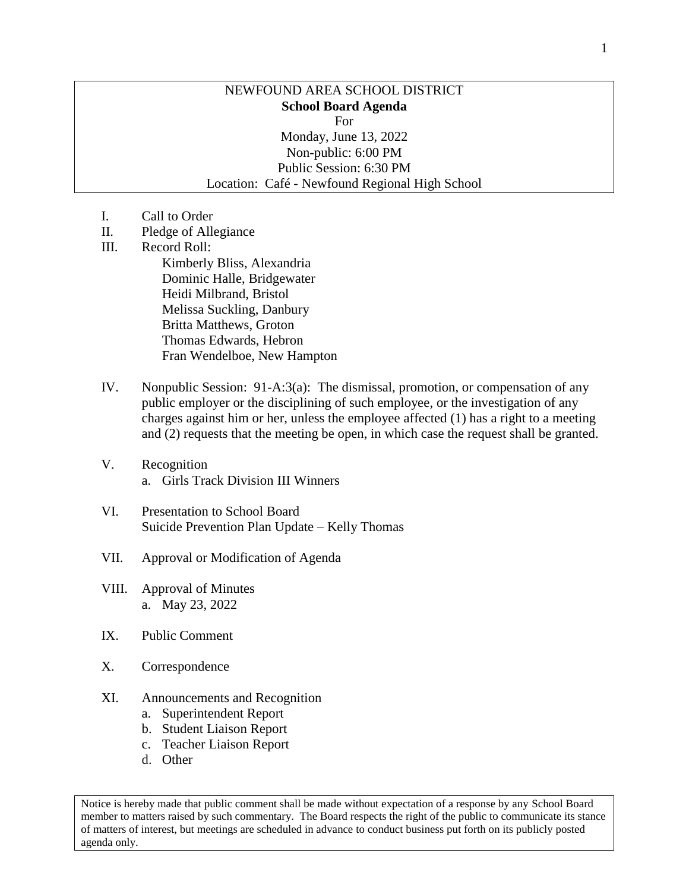## NEWFOUND AREA SCHOOL DISTRICT **School Board Agenda** For Monday, June 13, 2022 Non-public: 6:00 PM Public Session: 6:30 PM Location: Café - Newfound Regional High School

- I. Call to Order
- II. Pledge of Allegiance
- III. Record Roll: Kimberly Bliss, Alexandria Dominic Halle, Bridgewater Heidi Milbrand, Bristol

Melissa Suckling, Danbury Britta Matthews, Groton Thomas Edwards, Hebron Fran Wendelboe, New Hampton

- IV. Nonpublic Session: 91-A:3(a): The dismissal, promotion, or compensation of any public employer or the disciplining of such employee, or the investigation of any charges against him or her, unless the employee affected (1) has a right to a meeting and (2) requests that the meeting be open, in which case the request shall be granted.
- V. Recognition a. Girls Track Division III Winners
- VI. Presentation to School Board Suicide Prevention Plan Update – Kelly Thomas
- VII. Approval or Modification of Agenda
- VIII. Approval of Minutes a. May 23, 2022
- IX. Public Comment
- X. Correspondence
- XI. Announcements and Recognition
	- a. Superintendent Report
	- b. Student Liaison Report
	- c. Teacher Liaison Report
	- d. Other

Notice is hereby made that public comment shall be made without expectation of a response by any School Board member to matters raised by such commentary. The Board respects the right of the public to communicate its stance of matters of interest, but meetings are scheduled in advance to conduct business put forth on its publicly posted agenda only.